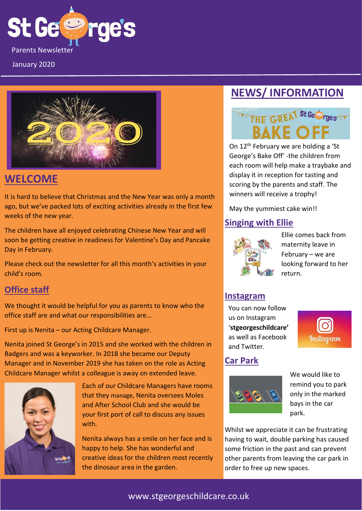

January 2020



### **WELCOME**

It is hard to believe that Christmas and the New Year was only a month ago, but we've packed lots of exciting activities already in the first few weeks of the new year.

The children have all enjoyed celebrating Chinese New Year and will soon be getting creative in readiness for Valentine's Day and Pancake Day in February.

Please check out the newsletter for all this month's activities in your child's room.

#### **Office staff**

We thought it would be helpful for you as parents to know who the office staff are and what our responsibilities are...

First up is Nenita – our Acting Childcare Manager.

Nenita joined St George's in 2015 and she worked with the children in Badgers and was a keyworker. In 2018 she became our Deputy Manager and in November 2019 she has taken on the role as Acting Childcare Manager whilst a colleague is away on extended leave.



Each of our Childcare Managers have rooms that they manage, Nenita oversees Moles and After School Club and she would be your first port of call to discuss any issues with.

Nenita always has a smile on her face and is happy to help. She has wonderful and creative ideas for the children most recently the dinosaur area in the garden.

# **NEWS/ INFORMATION**



On 12<sup>th</sup> February we are holding a 'St George's Bake Off' -the children from each room will help make a traybake and display it in reception for tasting and scoring by the parents and staff. The winners will receive a trophy!

May the yummiest cake win!!

#### **Singing with Ellie**



Ellie comes back from maternity leave in February – we are looking forward to her return.

#### **Instagram**

You can now follow us on Instagram '**stgeorgeschildcare'**  as well as Facebook and Twitter.



#### **Car Park**



We would like to remind you to park only in the marked bays in the car park.

Whilst we appreciate it can be frustrating having to wait, double parking has caused some friction in the past and can prevent other parents from leaving the car park in order to free up new spaces.

#### www.stgeorgeschildcare.co.uk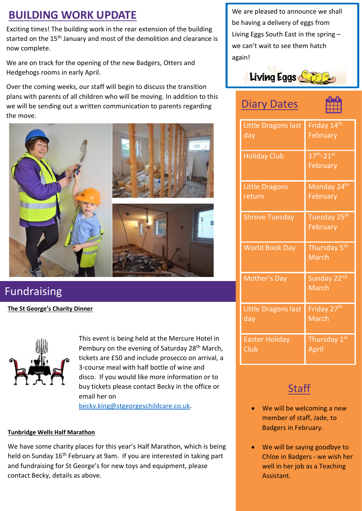# **BUILDING WORK UPDATE**

Exciting times! The building work in the rear extension of the building started on the 15<sup>th</sup> January and most of the demolition and clearance is now complete.

We are on track for the opening of the new Badgers, Otters and Hedgehogs rooms in early April.

Over the coming weeks, our staff will begin to discuss the transition plans with parents of all children who will be moving. In addition to this we will be sending out a written communication to parents regarding the move.



Fundraising

**The St George's Charity Dinner**



This event is being held at the Mercure Hotel in Pembury on the evening of Saturday 28<sup>th</sup> March, tickets are £50 and include prosecco on arrival, a 3-course meal with half bottle of wine and disco. If you would like more information or to buy tickets please contact Becky in the office or email her on

[becky.king@stgeorgeschildcare.co.uk.](mailto:becky.king@stgeorgeschildcare.co.uk)

#### **Tunbridge Wells Half Marathon**

We have some charity places for this year's Half Marathon, which is being held on Sunday 16<sup>th</sup> February at 9am. If you are interested in taking part and fundraising for St George's for new toys and equipment, please contact Becky, details as above.

We are pleased to announce we shall be having a delivery of eggs from Living Eggs South East in the spring – we can't wait to see them hatch again!



| <b>Diary Dates</b>                |                                         |
|-----------------------------------|-----------------------------------------|
| <b>Little Dragons last</b><br>day | Friday 14th<br>February                 |
| <b>Holiday Club</b>               | $17th - 21st$<br>February               |
| <b>Little Dragons</b><br>return   | Monday 24 <sup>th</sup><br>February     |
| <b>Shrove Tuesday</b>             | Tuesday 25 <sup>th</sup><br>February    |
| <b>World Book Day</b>             | Thursday 5 <sup>th</sup><br>March       |
| Mother's Day                      | Sunday 22nd<br><b>March</b>             |
| <b>Little Dragons last</b><br>day | Friday 27 <sup>th</sup><br><b>March</b> |
| <b>Easter Holiday</b><br>Club     | Thursday 1st<br>April                   |

## **Staff**

- We will be welcoming a new member of staff, Jade, to Badgers in February.
- We will be saying goodbye to Chloe in Badgers - we wish her well in her job as a Teaching Assistant.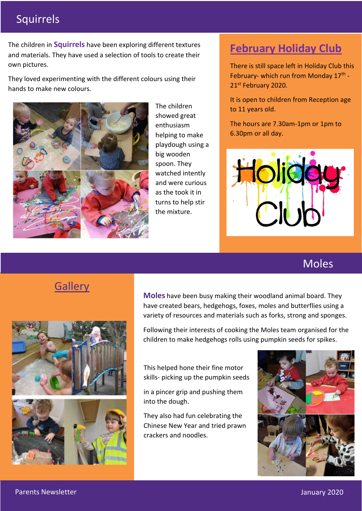## Squirrels

The children in **Squirrels** have been exploring different textures and materials. They have used a selection of tools to create their own pictures.

They loved experimenting with the different colours using their hands to make new colours.



The children showed great enthusiasm helping to make playdough using a big wooden spoon. They watched intently and were curious as the took it in turns to help stir the mixture.

# **February Holiday Club**

There is still space left in Holiday Club this February- which run from Monday 17<sup>th</sup> -21st February 2020.

It is open to children from Reception age to 11 years old.

The hours are 7.30am-1pm or 1pm to 6.30pm or all day.



## **Moles**

# **Gallery**



**Moles** have been busy making their woodland animal board. They have created bears, hedgehogs, foxes, moles and butterflies using a variety of resources and materials such as forks, strong and sponges.

Following their interests of cooking the Moles team organised for the children to make hedgehogs rolls using pumpkin seeds for spikes.

This helped hone their fine motor skills- picking up the pumpkin seeds

in a pincer grip and pushing them into the dough.

They also had fun celebrating the Chinese New Year and tried prawn crackers and noodles.